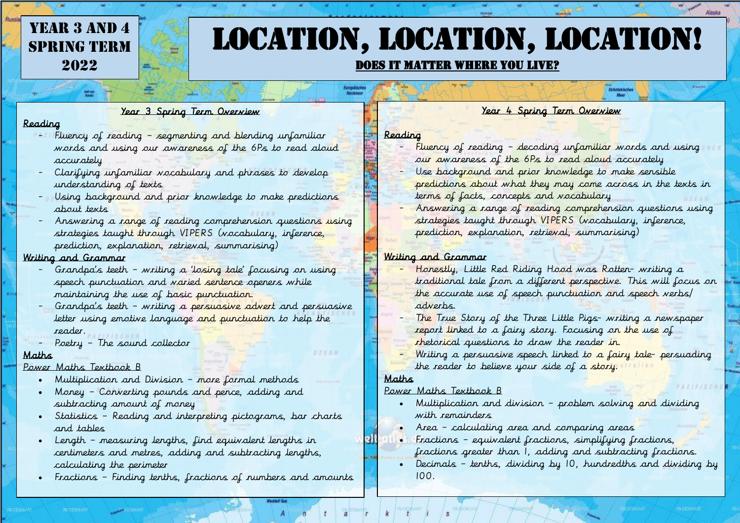# YEAR 3 AND 4 **SPRING TERM** 2022

# Location, location, location!

#### Does it matter where you live?

#### Year 3 Spring Term Overview

#### Reading

- Fluency of reading segmenting and blending unfamiliar words and using our awareness of the 6Ps to read aloud accurately
- Clarifying unfamiliar vocabulary and phrases to develop understanding of texts
- Using background and prior knowledge to make predictions about texts
- Answering a range of reading comprehension questions using strategies taught through VIPERS (vocabulary, inference, prediction, explanation, retrieval, summarising)

#### Writing and Grammar

- Grandpa's teeth writing a 'losing tale' focusing on using speech punctuation and varied sentence openers while maintaining the use of basic punctuation.
- Grandpa's teeth writing a persuasive advert and persuasive letter using emotive language and punctuation to help the reader.
- Poetry The sound collector

#### Maths

#### Power Maths Textbook B

- Multiplication and Division more formal methods
- Money Converting pounds and pence, adding and subtracting amount of money
- Statistics Reading and interpreting pictograms, bar charts and tables
- Length measuring lengths, find equivalent lengths in centimeters and metres, adding and subtracting lengths, calculating the perimeter
- Fractions Finding tenths, fractions of numbers and amounts

#### Year 4 Spring Term Overview ö

#### Reading

- Fluency of reading decoding unfamiliar words and using our awareness of the 6Ps to read aloud accurately
- Use background and prior knowledge to make sensible predictions about what they may come across in the texts in terms of facts, concepts and vocabulary
- Answering a range of reading comprehension questions using strategies taught through VIPERS (vocabulary, inference, prediction, explanation, retrieval, summarising)

#### Writing and Grammar

- Honestly, Little Red Riding Hood was Rotten- writing a traditional tale from a different perspective. This will focus on the accurate use of speech punctuation and speech verbs/ adverbs.
- The True Story of the Three Little Pigs- writing a newspaper report linked to a fairy story. Focusing on the use of rhetorical questions to draw the reader in.
- Writing a persuasive speech linked to a fairy tale- persuading the reader to believe your side of a story.

#### Maths

#### Power Maths Textbook B

- Multiplication and division problem solving and dividing with *remainders*
- Area calculating area and comparing areas
- Fractions equivalent fractions, simplifying fractions, fractions greater than 1, adding and subtracting fractions.
- Decimals tenths, dividing by 10, hundredths and dividing by 100.